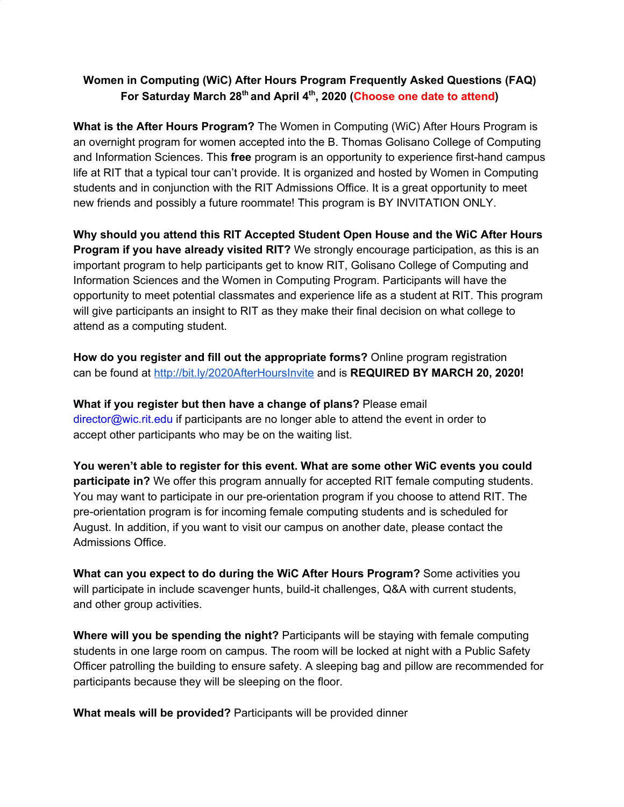### **Women in Computing (WiC) After Hours Program Frequently Asked Questions (FAQ) For Saturday March 28 th and April 4 th , 2020 (Choose one date to attend)**

**What is the After Hours Program?** The Women in Computing (WiC) After Hours Program is an overnight program for women accepted into the B. Thomas Golisano College of Computing and Information Sciences. This **free** program is an opportunity to experience first-hand campus life at RIT that a typical tour can't provide. It is organized and hosted by Women in Computing students and in conjunction with the RIT Admissions Office. It is a great opportunity to meet new friends and possibly a future roommate! This program is BY INVITATION ONLY.

**Why should you attend this RIT Accepted Student Open House and the WiC After Hours Program if you have already visited RIT?** We strongly encourage participation, as this is an important program to help participants get to know RIT, Golisano College of Computing and Information Sciences and the Women in Computing Program. Participants will have the opportunity to meet potential classmates and experience life as a student at RIT. This program will give participants an insight to RIT as they make their final decision on what college to attend as a computing student.

**How do you register and fill out the appropriate forms?** Online program registration can be found at <http://bit.ly/2020AfterHoursInvite> and is **REQUIRED BY MARCH 20, 2020!**

**What if you register but then have a change of plans?** Please email director@wic.rit.edu if participants are no longer able to attend the event in order to accept other participants who may be on the waiting list.

**You weren't able to register for this event. What are some other WiC events you could participate in?** We offer this program annually for accepted RIT female computing students. You may want to participate in our pre-orientation program if you choose to attend RIT. The pre-orientation program is for incoming female computing students and is scheduled for August. In addition, if you want to visit our campus on another date, please contact the Admissions Office.

**What can you expect to do during the WiC After Hours Program?** Some activities you will participate in include scavenger hunts, build-it challenges, Q&A with current students, and other group activities.

**Where will you be spending the night?** Participants will be staying with female computing students in one large room on campus. The room will be locked at night with a Public Safety Officer patrolling the building to ensure safety. A sleeping bag and pillow are recommended for participants because they will be sleeping on the floor.

**What meals will be provided?** Participants will be provided dinner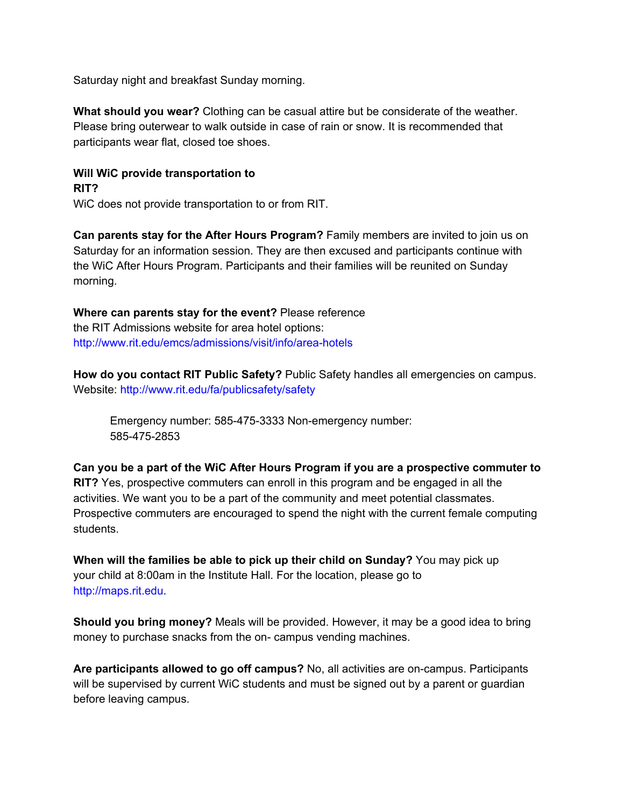Saturday night and breakfast Sunday morning.

**What should you wear?** Clothing can be casual attire but be considerate of the weather. Please bring outerwear to walk outside in case of rain or snow. It is recommended that participants wear flat, closed toe shoes.

## **Will WiC provide transportation to**

#### **RIT?**

WiC does not provide transportation to or from RIT.

**Can parents stay for the After Hours Program?** Family members are invited to join us on Saturday for an information session. They are then excused and participants continue with the WiC After Hours Program. Participants and their families will be reunited on Sunday morning.

# **Where can parents stay for the event?** Please reference

the RIT Admissions website for area hotel options: http://www.rit.edu/emcs/admissions/visit/info/area-hotels

**How do you contact RIT Public Safety?** Public Safety handles all emergencies on campus. Website: http://www.rit.edu/fa/publicsafety/safety

Emergency number: 585-475-3333 Non-emergency number: 585-475-2853

## **Can you be a part of the WiC After Hours Program if you are a prospective commuter to**

**RIT?** Yes, prospective commuters can enroll in this program and be engaged in all the activities. We want you to be a part of the community and meet potential classmates. Prospective commuters are encouraged to spend the night with the current female computing students.

**When will the families be able to pick up their child on Sunday?** You may pick up your child at 8:00am in the Institute Hall. For the location, please go to http://maps.rit.edu.

**Should you bring money?** Meals will be provided. However, it may be a good idea to bring money to purchase snacks from the on- campus vending machines.

**Are participants allowed to go off campus?** No, all activities are on-campus. Participants will be supervised by current WiC students and must be signed out by a parent or guardian before leaving campus.